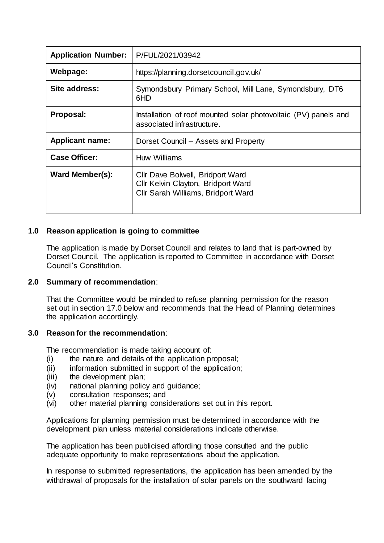| <b>Application Number:</b> | P/FUL/2021/03942                                                                                             |
|----------------------------|--------------------------------------------------------------------------------------------------------------|
| Webpage:                   | https://planning.dorsetcouncil.gov.uk/                                                                       |
| Site address:              | Symondsbury Primary School, Mill Lane, Symondsbury, DT6<br>6HD                                               |
| Proposal:                  | Installation of roof mounted solar photovoltaic (PV) panels and<br>associated infrastructure.                |
| <b>Applicant name:</b>     | Dorset Council – Assets and Property                                                                         |
| <b>Case Officer:</b>       | Huw Williams                                                                                                 |
| Ward Member(s):            | Cllr Dave Bolwell, Bridport Ward<br>Cllr Kelvin Clayton, Bridport Ward<br>Cllr Sarah Williams, Bridport Ward |

## **1.0 Reason application is going to committee**

The application is made by Dorset Council and relates to land that is part-owned by Dorset Council. The application is reported to Committee in accordance with Dorset Council's Constitution.

#### **2.0 Summary of recommendation**:

That the Committee would be minded to refuse planning permission for the reason set out in section 17.0 below and recommends that the Head of Planning determines the application accordingly.

## **3.0 Reason for the recommendation**:

The recommendation is made taking account of:

- (i) the nature and details of the application proposal;
- (ii) information submitted in support of the application;
- (iii) the development plan;
- (iv) national planning policy and guidance;
- (v) consultation responses; and
- (vi) other material planning considerations set out in this report.

Applications for planning permission must be determined in accordance with the development plan unless material considerations indicate otherwise.

The application has been publicised affording those consulted and the public adequate opportunity to make representations about the application.

In response to submitted representations, the application has been amended by the withdrawal of proposals for the installation of solar panels on the southward facing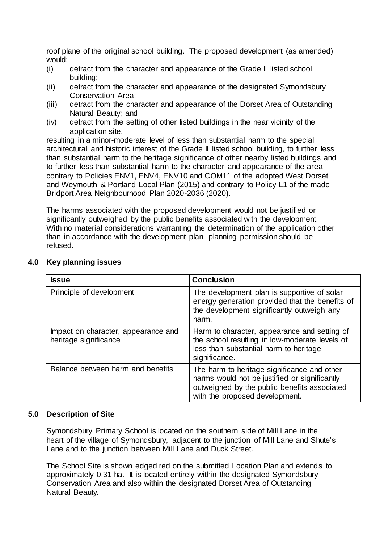roof plane of the original school building. The proposed development (as amended) would:

- (i) detract from the character and appearance of the Grade II listed school building;
- (ii) detract from the character and appearance of the designated Symondsbury Conservation Area;
- (iii) detract from the character and appearance of the Dorset Area of Outstanding Natural Beauty; and
- (iv) detract from the setting of other listed buildings in the near vicinity of the application site,

resulting in a minor-moderate level of less than substantial harm to the special architectural and historic interest of the Grade II listed school building, to further less than substantial harm to the heritage significance of other nearby listed buildings and to further less than substantial harm to the character and appearance of the area contrary to Policies ENV1, ENV4, ENV10 and COM11 of the adopted West Dorset and Weymouth & Portland Local Plan (2015) and contrary to Policy L1 of the made Bridport Area Neighbourhood Plan 2020-2036 (2020).

The harms associated with the proposed development would not be justified or significantly outweighed by the public benefits associated with the development. With no material considerations warranting the determination of the application other than in accordance with the development plan, planning permission should be refused.

| <b>Issue</b>                                                 | <b>Conclusion</b>                                                                                                                                                              |
|--------------------------------------------------------------|--------------------------------------------------------------------------------------------------------------------------------------------------------------------------------|
| Principle of development                                     | The development plan is supportive of solar<br>energy generation provided that the benefits of<br>the development significantly outweigh any<br>harm.                          |
| Impact on character, appearance and<br>heritage significance | Harm to character, appearance and setting of<br>the school resulting in low-moderate levels of<br>less than substantial harm to heritage<br>significance.                      |
| Balance between harm and benefits                            | The harm to heritage significance and other<br>harms would not be justified or significantly<br>outweighed by the public benefits associated<br>with the proposed development. |

# **4.0 Key planning issues**

# **5.0 Description of Site**

Symondsbury Primary School is located on the southern side of Mill Lane in the heart of the village of Symondsbury, adjacent to the junction of Mill Lane and Shute's Lane and to the junction between Mill Lane and Duck Street.

The School Site is shown edged red on the submitted Location Plan and extends to approximately 0.31 ha. It is located entirely within the designated Symondsbury Conservation Area and also within the designated Dorset Area of Outstanding Natural Beauty.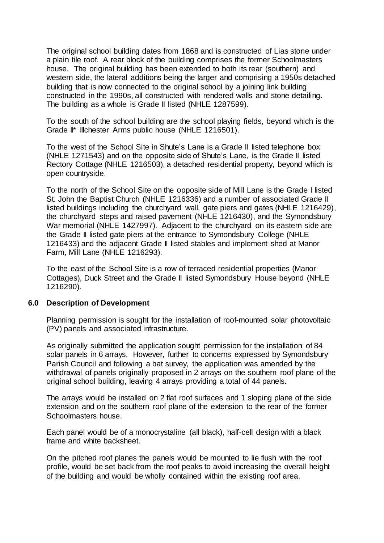The original school building dates from 1868 and is constructed of Lias stone under a plain tile roof. A rear block of the building comprises the former Schoolmasters house. The original building has been extended to both its rear (southern) and western side, the lateral additions being the larger and comprising a 1950s detached building that is now connected to the original school by a joining link building constructed in the 1990s, all constructed with rendered walls and stone detailing. The building as a whole is Grade II listed (NHLE 1287599).

To the south of the school building are the school playing fields, beyond which is the Grade II<sup>\*</sup> Illchester Arms public house (NHLE 1216501).

To the west of the School Site in Shute's Lane is a Grade II listed telephone box (NHLE 1271543) and on the opposite side of Shute's Lane, is the Grade II listed Rectory Cottage (NHLE 1216503), a detached residential property, beyond which is open countryside.

To the north of the School Site on the opposite side of Mill Lane is the Grade I listed St. John the Baptist Church (NHLE 1216336) and a number of associated Grade II listed buildings including the churchyard wall, gate piers and gates (NHLE 1216429), the churchyard steps and raised pavement (NHLE 1216430), and the Symondsbury War memorial (NHLE 1427997). Adjacent to the churchyard on its eastern side are the Grade II listed gate piers at the entrance to Symondsbury College (NHLE 1216433) and the adjacent Grade II listed stables and implement shed at Manor Farm, Mill Lane (NHLE 1216293).

To the east of the School Site is a row of terraced residential properties (Manor Cottages), Duck Street and the Grade II listed Symondsbury House beyond (NHLE 1216290).

## **6.0 Description of Development**

Planning permission is sought for the installation of roof-mounted solar photovoltaic (PV) panels and associated infrastructure.

As originally submitted the application sought permission for the installation of 84 solar panels in 6 arrays. However, further to concerns expressed by Symondsbury Parish Council and following a bat survey, the application was amended by the withdrawal of panels originally proposed in 2 arrays on the southern roof plane of the original school building, leaving 4 arrays providing a total of 44 panels.

The arrays would be installed on 2 flat roof surfaces and 1 sloping plane of the side extension and on the southern roof plane of the extension to the rear of the former Schoolmasters house.

Each panel would be of a monocrystaline (all black), half-cell design with a black frame and white backsheet.

On the pitched roof planes the panels would be mounted to lie flush with the roof profile, would be set back from the roof peaks to avoid increasing the overall height of the building and would be wholly contained within the existing roof area.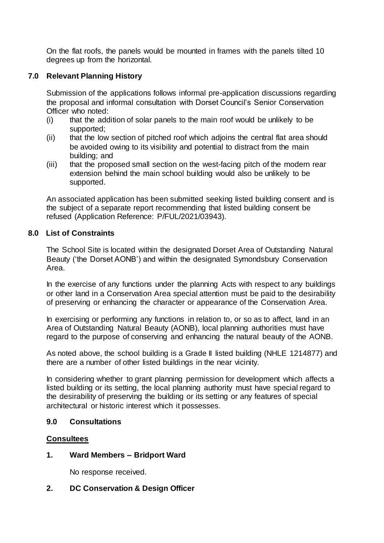On the flat roofs, the panels would be mounted in frames with the panels tilted 10 degrees up from the horizontal.

## **7.0 Relevant Planning History**

Submission of the applications follows informal pre-application discussions regarding the proposal and informal consultation with Dorset Council's Senior Conservation Officer who noted:

- (i) that the addition of solar panels to the main roof would be unlikely to be supported;
- (ii) that the low section of pitched roof which adjoins the central flat area should be avoided owing to its visibility and potential to distract from the main building; and
- (iii) that the proposed small section on the west-facing pitch of the modern rear extension behind the main school building would also be unlikely to be supported.

An associated application has been submitted seeking listed building consent and is the subject of a separate report recommending that listed building consent be refused (Application Reference: P/FUL/2021/03943).

#### **8.0 List of Constraints**

The School Site is located within the designated Dorset Area of Outstanding Natural Beauty ('the Dorset AONB') and within the designated Symondsbury Conservation Area.

In the exercise of any functions under the planning Acts with respect to any buildings or other land in a Conservation Area special attention must be paid to the desirability of preserving or enhancing the character or appearance of the Conservation Area.

In exercising or performing any functions in relation to, or so as to affect, land in an Area of Outstanding Natural Beauty (AONB), local planning authorities must have regard to the purpose of conserving and enhancing the natural beauty of the AONB.

As noted above, the school building is a Grade II listed building (NHLE 1214877) and there are a number of other listed buildings in the near vicinity.

In considering whether to grant planning permission for development which affects a listed building or its setting, the local planning authority must have special regard to the desirability of preserving the building or its setting or any features of special architectural or historic interest which it possesses.

## **9.0 Consultations**

## **Consultees**

## **1. Ward Members – Bridport Ward**

No response received.

## **2. DC Conservation & Design Officer**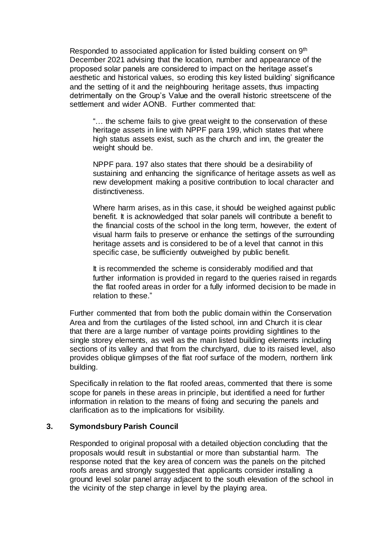Responded to associated application for listed building consent on 9<sup>th</sup> December 2021 advising that the location, number and appearance of the proposed solar panels are considered to impact on the heritage asset's aesthetic and historical values, so eroding this key listed building' significance and the setting of it and the neighbouring heritage assets, thus impacting detrimentally on the Group's Value and the overall historic streetscene of the settlement and wider AONB. Further commented that:

"… the scheme fails to give great weight to the conservation of these heritage assets in line with NPPF para 199, which states that where high status assets exist, such as the church and inn, the greater the weight should be.

NPPF para. 197 also states that there should be a desirability of sustaining and enhancing the significance of heritage assets as well as new development making a positive contribution to local character and distinctiveness.

Where harm arises, as in this case, it should be weighed against public benefit. It is acknowledged that solar panels will contribute a benefit to the financial costs of the school in the long term, however, the extent of visual harm fails to preserve or enhance the settings of the surrounding heritage assets and is considered to be of a level that cannot in this specific case, be sufficiently outweighed by public benefit.

It is recommended the scheme is considerably modified and that further information is provided in regard to the queries raised in regards the flat roofed areas in order for a fully informed decision to be made in relation to these."

Further commented that from both the public domain within the Conservation Area and from the curtilages of the listed school, inn and Church it is clear that there are a large number of vantage points providing sightlines to the single storey elements, as well as the main listed building elements including sections of its valley and that from the churchyard, due to its raised level, also provides oblique glimpses of the flat roof surface of the modern, northern link building.

Specifically in relation to the flat roofed areas, commented that there is some scope for panels in these areas in principle, but identified a need for further information in relation to the means of fixing and securing the panels and clarification as to the implications for visibility.

## **3. Symondsbury Parish Council**

Responded to original proposal with a detailed objection concluding that the proposals would result in substantial or more than substantial harm. The response noted that the key area of concern was the panels on the pitched roofs areas and strongly suggested that applicants consider installing a ground level solar panel array adjacent to the south elevation of the school in the vicinity of the step change in level by the playing area.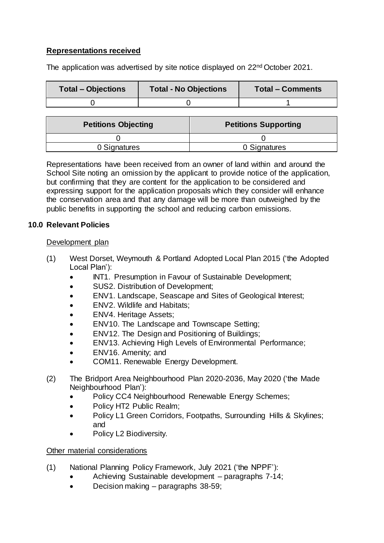# **Representations received**

The application was advertised by site notice displayed on 22<sup>nd</sup> October 2021.

| <b>Total – Objections</b> | <b>Total - No Objections</b> | <b>Total - Comments</b> |
|---------------------------|------------------------------|-------------------------|
|                           |                              |                         |

| <b>Petitions Objecting</b> | <b>Petitions Supporting</b> |
|----------------------------|-----------------------------|
|                            |                             |
| 0 Signatures               | 0 Signatures                |

Representations have been received from an owner of land within and around the School Site noting an omission by the applicant to provide notice of the application, but confirming that they are content for the application to be considered and expressing support for the application proposals which they consider will enhance the conservation area and that any damage will be more than outweighed by the public benefits in supporting the school and reducing carbon emissions.

## **10.0 Relevant Policies**

## Development plan

- (1) West Dorset, Weymouth & Portland Adopted Local Plan 2015 ('the Adopted Local Plan'):
	- INT1. Presumption in Favour of Sustainable Development;
	- SUS2. Distribution of Development;
	- ENV1. Landscape, Seascape and Sites of Geological Interest;
	- ENV2. Wildlife and Habitats;
	- ENV4. Heritage Assets;
	- ENV10. The Landscape and Townscape Setting;
	- ENV12. The Design and Positioning of Buildings;
	- ENV13. Achieving High Levels of Environmental Performance;
	- ENV16. Amenity; and
	- COM11. Renewable Energy Development.
- (2) The Bridport Area Neighbourhood Plan 2020-2036, May 2020 ('the Made Neighbourhood Plan'):
	- Policy CC4 Neighbourhood Renewable Energy Schemes;
	- Policy HT2 Public Realm;
	- Policy L1 Green Corridors, Footpaths, Surrounding Hills & Skylines; and
	- Policy L2 Biodiversity.

# Other material considerations

- (1) National Planning Policy Framework, July 2021 ('the NPPF'):
	- Achieving Sustainable development paragraphs 7-14;
	- Decision making paragraphs 38-59;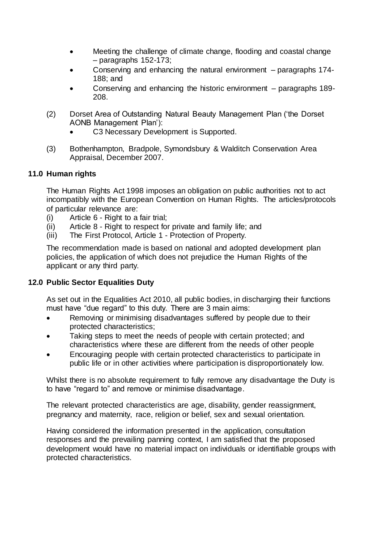- Meeting the challenge of climate change, flooding and coastal change – paragraphs 152-173;
- Conserving and enhancing the natural environment paragraphs 174- 188; and
- Conserving and enhancing the historic environment paragraphs 189- 208.
- (2) Dorset Area of Outstanding Natural Beauty Management Plan ('the Dorset AONB Management Plan'):
	- C3 Necessary Development is Supported.
- (3) Bothenhampton, Bradpole, Symondsbury & Walditch Conservation Area Appraisal, December 2007.

## **11.0 Human rights**

The Human Rights Act 1998 imposes an obligation on public authorities not to act incompatibly with the European Convention on Human Rights. The articles/protocols of particular relevance are:

- (i) Article 6 Right to a fair trial;
- (ii) Article 8 Right to respect for private and family life; and
- (iii) The First Protocol, Article 1 Protection of Property.

The recommendation made is based on national and adopted development plan policies, the application of which does not prejudice the Human Rights of the applicant or any third party.

# **12.0 Public Sector Equalities Duty**

As set out in the Equalities Act 2010, all public bodies, in discharging their functions must have "due regard" to this duty. There are 3 main aims:

- Removing or minimising disadvantages suffered by people due to their protected characteristics;
- Taking steps to meet the needs of people with certain protected; and characteristics where these are different from the needs of other people
- Encouraging people with certain protected characteristics to participate in public life or in other activities where participation is disproportionately low.

Whilst there is no absolute requirement to fully remove any disadvantage the Duty is to have "regard to" and remove or minimise disadvantage.

The relevant protected characteristics are age, disability, gender reassignment, pregnancy and maternity, race, religion or belief, sex and sexual orientation.

Having considered the information presented in the application, consultation responses and the prevailing panning context, I am satisfied that the proposed development would have no material impact on individuals or identifiable groups with protected characteristics.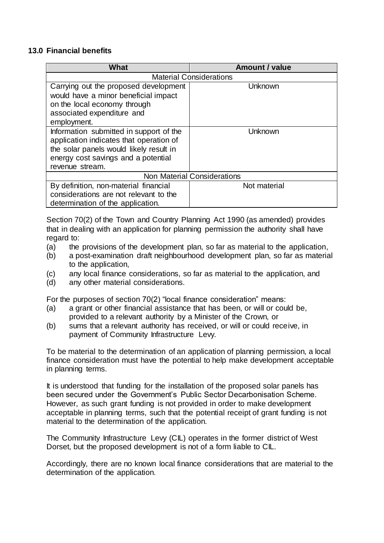#### **13.0 Financial benefits**

| What                                    | <b>Amount / value</b> |  |  |
|-----------------------------------------|-----------------------|--|--|
| <b>Material Considerations</b>          |                       |  |  |
| Carrying out the proposed development   | Unknown               |  |  |
| would have a minor beneficial impact    |                       |  |  |
| on the local economy through            |                       |  |  |
| associated expenditure and              |                       |  |  |
| employment.                             |                       |  |  |
| Information submitted in support of the | Unknown               |  |  |
| application indicates that operation of |                       |  |  |
| the solar panels would likely result in |                       |  |  |
| energy cost savings and a potential     |                       |  |  |
| revenue stream.                         |                       |  |  |
| <b>Non Material Considerations</b>      |                       |  |  |
| By definition, non-material financial   | Not material          |  |  |
| considerations are not relevant to the  |                       |  |  |
| determination of the application.       |                       |  |  |

Section 70(2) of the Town and Country Planning Act 1990 (as amended) provides that in dealing with an application for planning permission the authority shall have regard to:

- (a) the provisions of the development plan, so far as material to the application,
- (b) a post-examination draft neighbourhood development plan, so far as material to the application,
- (c) any local finance considerations, so far as material to the application, and
- (d) any other material considerations.

For the purposes of section 70(2) "local finance consideration" means:

- (a) a grant or other financial assistance that has been, or will or could be, provided to a relevant authority by a Minister of the Crown, or
- (b) sums that a relevant authority has received, or will or could receive, in payment of Community Infrastructure Levy.

To be material to the determination of an application of planning permission, a local finance consideration must have the potential to help make development acceptable in planning terms.

It is understood that funding for the installation of the proposed solar panels has been secured under the Government's Public Sector Decarbonisation Scheme. However, as such grant funding is not provided in order to make development acceptable in planning terms, such that the potential receipt of grant funding is not material to the determination of the application.

The Community Infrastructure Levy (CIL) operates in the former district of West Dorset, but the proposed development is not of a form liable to CIL.

Accordingly, there are no known local finance considerations that are material to the determination of the application.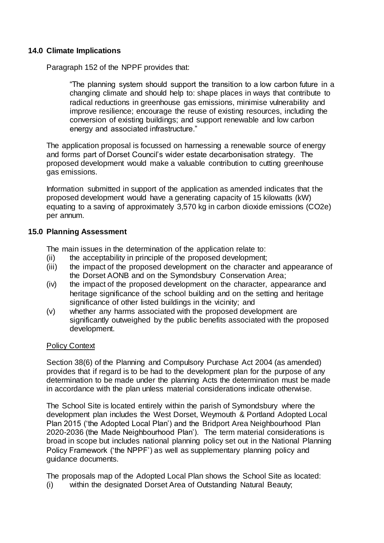## **14.0 Climate Implications**

Paragraph 152 of the NPPF provides that:

"The planning system should support the transition to a low carbon future in a changing climate and should help to: shape places in ways that contribute to radical reductions in greenhouse gas emissions, minimise vulnerability and improve resilience; encourage the reuse of existing resources, including the conversion of existing buildings; and support renewable and low carbon energy and associated infrastructure."

The application proposal is focussed on harnessing a renewable source of energy and forms part of Dorset Council's wider estate decarbonisation strategy. The proposed development would make a valuable contribution to cutting greenhouse gas emissions.

Information submitted in support of the application as amended indicates that the proposed development would have a generating capacity of 15 kilowatts (kW) equating to a saving of approximately 3,570 kg in carbon dioxide emissions (CO2e) per annum.

## **15.0 Planning Assessment**

The main issues in the determination of the application relate to:

- (ii) the acceptability in principle of the proposed development;
- (iii) the impact of the proposed development on the character and appearance of the Dorset AONB and on the Symondsbury Conservation Area;
- (iv) the impact of the proposed development on the character, appearance and heritage significance of the school building and on the setting and heritage significance of other listed buildings in the vicinity; and
- (v) whether any harms associated with the proposed development are significantly outweighed by the public benefits associated with the proposed development.

#### Policy Context

Section 38(6) of the Planning and Compulsory Purchase Act 2004 (as amended) provides that if regard is to be had to the development plan for the purpose of any determination to be made under the planning Acts the determination must be made in accordance with the plan unless material considerations indicate otherwise.

The School Site is located entirely within the parish of Symondsbury where the development plan includes the West Dorset, Weymouth & Portland Adopted Local Plan 2015 ('the Adopted Local Plan') and the Bridport Area Neighbourhood Plan 2020-2036 (the Made Neighbourhood Plan'). The term material considerations is broad in scope but includes national planning policy set out in the National Planning Policy Framework ('the NPPF') as well as supplementary planning policy and guidance documents.

The proposals map of the Adopted Local Plan shows the School Site as located: (i) within the designated Dorset Area of Outstanding Natural Beauty;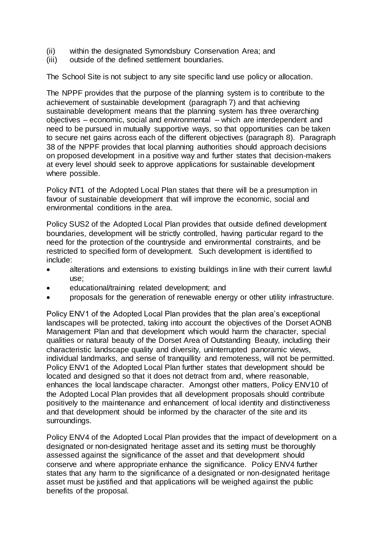- (ii) within the designated Symondsbury Conservation Area; and<br>(iii) outside of the defined settlement boundaries.
- outside of the defined settlement boundaries.

The School Site is not subject to any site specific land use policy or allocation.

The NPPF provides that the purpose of the planning system is to contribute to the achievement of sustainable development (paragraph 7) and that achieving sustainable development means that the planning system has three overarching objectives – economic, social and environmental – which are interdependent and need to be pursued in mutually supportive ways, so that opportunities can be taken to secure net gains across each of the different objectives (paragraph 8). Paragraph 38 of the NPPF provides that local planning authorities should approach decisions on proposed development in a positive way and further states that decision-makers at every level should seek to approve applications for sustainable development where possible.

Policy INT1 of the Adopted Local Plan states that there will be a presumption in favour of sustainable development that will improve the economic, social and environmental conditions in the area.

Policy SUS2 of the Adopted Local Plan provides that outside defined development boundaries, development will be strictly controlled, having particular regard to the need for the protection of the countryside and environmental constraints, and be restricted to specified form of development. Such development is identified to include:

- alterations and extensions to existing buildings in line with their current lawful use;
- educational/training related development; and
- proposals for the generation of renewable energy or other utility infrastructure.

Policy ENV1 of the Adopted Local Plan provides that the plan area's exceptional landscapes will be protected, taking into account the objectives of the Dorset AONB Management Plan and that development which would harm the character, special qualities or natural beauty of the Dorset Area of Outstanding Beauty, including their characteristic landscape quality and diversity, uninterrupted panoramic views, individual landmarks, and sense of tranquillity and remoteness, will not be permitted. Policy ENV1 of the Adopted Local Plan further states that development should be located and designed so that it does not detract from and, where reasonable, enhances the local landscape character. Amongst other matters, Policy ENV10 of the Adopted Local Plan provides that all development proposals should contribute positively to the maintenance and enhancement of local identity and distinctiveness and that development should be informed by the character of the site and its surroundings.

Policy ENV4 of the Adopted Local Plan provides that the impact of development on a designated or non-designated heritage asset and its setting must be thoroughly assessed against the significance of the asset and that development should conserve and where appropriate enhance the significance. Policy ENV4 further states that any harm to the significance of a designated or non-designated heritage asset must be justified and that applications will be weighed against the public benefits of the proposal.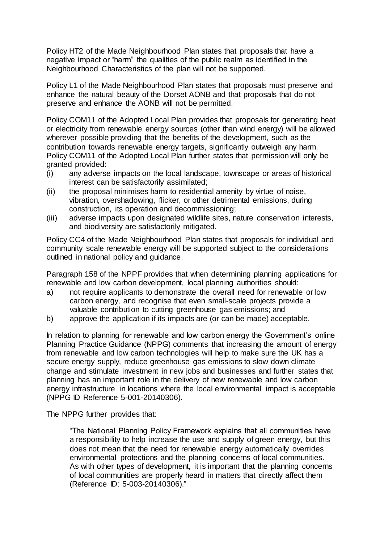Policy HT2 of the Made Neighbourhood Plan states that proposals that have a negative impact or "harm" the qualities of the public realm as identified in the Neighbourhood Characteristics of the plan will not be supported.

Policy L1 of the Made Neighbourhood Plan states that proposals must preserve and enhance the natural beauty of the Dorset AONB and that proposals that do not preserve and enhance the AONB will not be permitted.

Policy COM11 of the Adopted Local Plan provides that proposals for generating heat or electricity from renewable energy sources (other than wind energy) will be allowed wherever possible providing that the benefits of the development, such as the contribution towards renewable energy targets, significantly outweigh any harm. Policy COM11 of the Adopted Local Plan further states that permission will only be granted provided:

- (i) any adverse impacts on the local landscape, townscape or areas of historical interest can be satisfactorily assimilated;
- (ii) the proposal minimises harm to residential amenity by virtue of noise, vibration, overshadowing, flicker, or other detrimental emissions, during construction, its operation and decommissioning;
- (iii) adverse impacts upon designated wildlife sites, nature conservation interests, and biodiversity are satisfactorily mitigated.

Policy CC4 of the Made Neighbourhood Plan states that proposals for individual and community scale renewable energy will be supported subject to the considerations outlined in national policy and guidance.

Paragraph 158 of the NPPF provides that when determining planning applications for renewable and low carbon development, local planning authorities should:

- a) not require applicants to demonstrate the overall need for renewable or low carbon energy, and recognise that even small-scale projects provide a valuable contribution to cutting greenhouse gas emissions; and
- b) approve the application if its impacts are (or can be made) acceptable.

In relation to planning for renewable and low carbon energy the Government's online Planning Practice Guidance (NPPG) comments that increasing the amount of energy from renewable and low carbon technologies will help to make sure the UK has a secure energy supply, reduce greenhouse gas emissions to slow down climate change and stimulate investment in new jobs and businesses and further states that planning has an important role in the delivery of new renewable and low carbon energy infrastructure in locations where the local environmental impact is acceptable (NPPG ID Reference 5-001-20140306).

The NPPG further provides that:

"The National Planning Policy Framework explains that all communities have a responsibility to help increase the use and supply of green energy, but this does not mean that the need for renewable energy automatically overrides environmental protections and the planning concerns of local communities. As with other types of development, it is important that the planning concerns of local communities are properly heard in matters that directly affect them (Reference ID: 5-003-20140306)."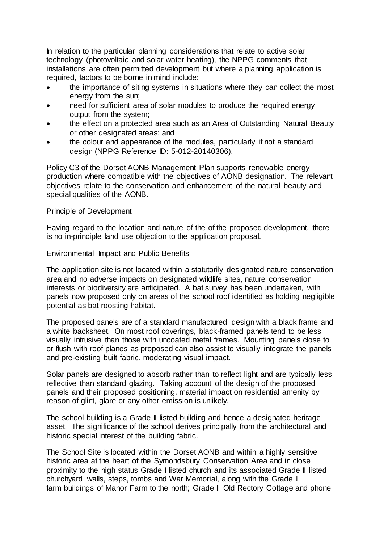In relation to the particular planning considerations that relate to active solar technology (photovoltaic and solar water heating), the NPPG comments that installations are often permitted development but where a planning application is required, factors to be borne in mind include:

- the importance of siting systems in situations where they can collect the most energy from the sun;
- need for sufficient area of solar modules to produce the required energy output from the system;
- the effect on a protected area such as an Area of Outstanding Natural Beauty or other designated areas; and
- the colour and appearance of the modules, particularly if not a standard design (NPPG Reference ID: 5-012-20140306).

Policy C3 of the Dorset AONB Management Plan supports renewable energy production where compatible with the objectives of AONB designation. The relevant objectives relate to the conservation and enhancement of the natural beauty and special qualities of the AONB.

#### Principle of Development

Having regard to the location and nature of the of the proposed development, there is no in-principle land use objection to the application proposal.

#### Environmental Impact and Public Benefits

The application site is not located within a statutorily designated nature conservation area and no adverse impacts on designated wildlife sites, nature conservation interests or biodiversity are anticipated. A bat survey has been undertaken, with panels now proposed only on areas of the school roof identified as holding negligible potential as bat roosting habitat.

The proposed panels are of a standard manufactured design with a black frame and a white backsheet. On most roof coverings, black-framed panels tend to be less visually intrusive than those with uncoated metal frames. Mounting panels close to or flush with roof planes as proposed can also assist to visually integrate the panels and pre-existing built fabric, moderating visual impact.

Solar panels are designed to absorb rather than to reflect light and are typically less reflective than standard glazing. Taking account of the design of the proposed panels and their proposed positioning, material impact on residential amenity by reason of glint, glare or any other emission is unlikely.

The school building is a Grade II listed building and hence a designated heritage asset. The significance of the school derives principally from the architectural and historic special interest of the building fabric.

The School Site is located within the Dorset AONB and within a highly sensitive historic area at the heart of the Symondsbury Conservation Area and in close proximity to the high status Grade I listed church and its associated Grade II listed churchyard walls, steps, tombs and War Memorial, along with the Grade II farm buildings of Manor Farm to the north; Grade II Old Rectory Cottage and phone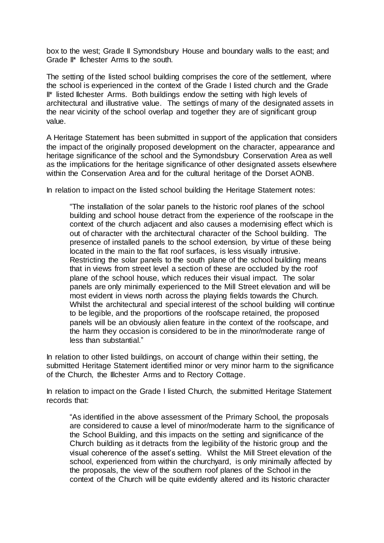box to the west; Grade II Symondsbury House and boundary walls to the east; and Grade II\* Ilchester Arms to the south.

The setting of the listed school building comprises the core of the settlement, where the school is experienced in the context of the Grade I listed church and the Grade II\* listed Ilchester Arms. Both buildings endow the setting with high levels of architectural and illustrative value. The settings of many of the designated assets in the near vicinity of the school overlap and together they are of significant group value.

A Heritage Statement has been submitted in support of the application that considers the impact of the originally proposed development on the character, appearance and heritage significance of the school and the Symondsbury Conservation Area as well as the implications for the heritage significance of other designated assets elsewhere within the Conservation Area and for the cultural heritage of the Dorset AONB.

In relation to impact on the listed school building the Heritage Statement notes:

"The installation of the solar panels to the historic roof planes of the school building and school house detract from the experience of the roofscape in the context of the church adjacent and also causes a modernising effect which is out of character with the architectural character of the School building. The presence of installed panels to the school extension, by virtue of these being located in the main to the flat roof surfaces, is less visually intrusive. Restricting the solar panels to the south plane of the school building means that in views from street level a section of these are occluded by the roof plane of the school house, which reduces their visual impact. The solar panels are only minimally experienced to the Mill Street elevation and will be most evident in views north across the playing fields towards the Church. Whilst the architectural and special interest of the school building will continue to be legible, and the proportions of the roofscape retained, the proposed panels will be an obviously alien feature in the context of the roofscape, and the harm they occasion is considered to be in the minor/moderate range of less than substantial."

In relation to other listed buildings, on account of change within their setting, the submitted Heritage Statement identified minor or very minor harm to the significance of the Church, the Illchester Arms and to Rectory Cottage.

In relation to impact on the Grade I listed Church, the submitted Heritage Statement records that:

"As identified in the above assessment of the Primary School, the proposals are considered to cause a level of minor/moderate harm to the significance of the School Building, and this impacts on the setting and significance of the Church building as it detracts from the legibility of the historic group and the visual coherence of the asset's setting. Whilst the Mill Street elevation of the school, experienced from within the churchyard, is only minimally affected by the proposals, the view of the southern roof planes of the School in the context of the Church will be quite evidently altered and its historic character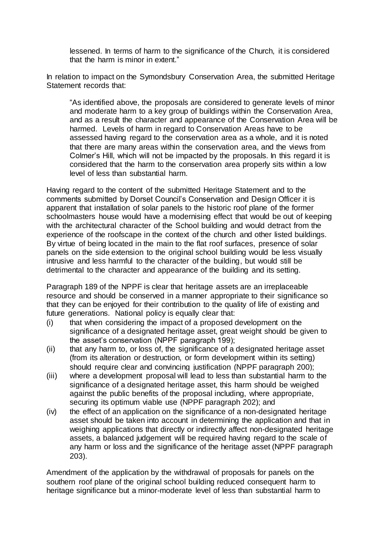lessened. In terms of harm to the significance of the Church, it is considered that the harm is minor in extent."

In relation to impact on the Symondsbury Conservation Area, the submitted Heritage Statement records that:

"As identified above, the proposals are considered to generate levels of minor and moderate harm to a key group of buildings within the Conservation Area, and as a result the character and appearance of the Conservation Area will be harmed. Levels of harm in regard to Conservation Areas have to be assessed having regard to the conservation area as a whole, and it is noted that there are many areas within the conservation area, and the views from Colmer's Hill, which will not be impacted by the proposals. In this regard it is considered that the harm to the conservation area properly sits within a low level of less than substantial harm.

Having regard to the content of the submitted Heritage Statement and to the comments submitted by Dorset Council's Conservation and Design Officer it is apparent that installation of solar panels to the historic roof plane of the former schoolmasters house would have a modernising effect that would be out of keeping with the architectural character of the School building and would detract from the experience of the roofscape in the context of the church and other listed buildings. By virtue of being located in the main to the flat roof surfaces, presence of solar panels on the side extension to the original school building would be less visually intrusive and less harmful to the character of the building, but would still be detrimental to the character and appearance of the building and its setting.

Paragraph 189 of the NPPF is clear that heritage assets are an irreplaceable resource and should be conserved in a manner appropriate to their significance so that they can be enjoyed for their contribution to the quality of life of existing and future generations. National policy is equally clear that:

- (i) that when considering the impact of a proposed development on the significance of a designated heritage asset, great weight should be given to the asset's conservation (NPPF paragraph 199);
- (ii) that any harm to, or loss of, the significance of a designated heritage asset (from its alteration or destruction, or form development within its setting) should require clear and convincing justification (NPPF paragraph 200);
- (iii) where a development proposal will lead to less than substantial harm to the significance of a designated heritage asset, this harm should be weighed against the public benefits of the proposal including, where appropriate, securing its optimum viable use (NPPF paragraph 202); and
- (iv) the effect of an application on the significance of a non-designated heritage asset should be taken into account in determining the application and that in weighing applications that directly or indirectly affect non-designated heritage assets, a balanced judgement will be required having regard to the scale of any harm or loss and the significance of the heritage asset (NPPF paragraph 203).

Amendment of the application by the withdrawal of proposals for panels on the southern roof plane of the original school building reduced consequent harm to heritage significance but a minor-moderate level of less than substantial harm to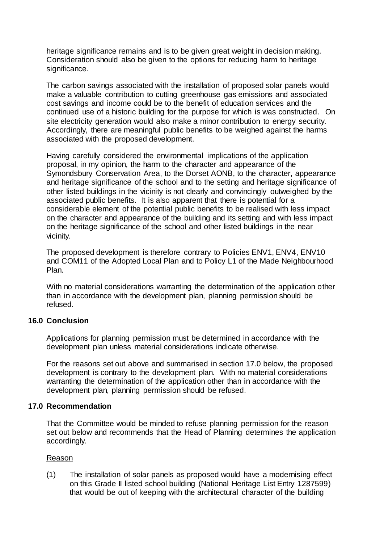heritage significance remains and is to be given great weight in decision making. Consideration should also be given to the options for reducing harm to heritage significance.

The carbon savings associated with the installation of proposed solar panels would make a valuable contribution to cutting greenhouse gas emissions and associated cost savings and income could be to the benefit of education services and the continued use of a historic building for the purpose for which is was constructed. On site electricity generation would also make a minor contribution to energy security. Accordingly, there are meaningful public benefits to be weighed against the harms associated with the proposed development.

Having carefully considered the environmental implications of the application proposal, in my opinion, the harm to the character and appearance of the Symondsbury Conservation Area, to the Dorset AONB, to the character, appearance and heritage significance of the school and to the setting and heritage significance of other listed buildings in the vicinity is not clearly and convincingly outweighed by the associated public benefits. It is also apparent that there is potential for a considerable element of the potential public benefits to be realised with less impact on the character and appearance of the building and its setting and with less impact on the heritage significance of the school and other listed buildings in the near vicinity.

The proposed development is therefore contrary to Policies ENV1, ENV4, ENV10 and COM11 of the Adopted Local Plan and to Policy L1 of the Made Neighbourhood Plan.

With no material considerations warranting the determination of the application other than in accordance with the development plan, planning permission should be refused.

#### **16.0 Conclusion**

Applications for planning permission must be determined in accordance with the development plan unless material considerations indicate otherwise.

For the reasons set out above and summarised in section 17.0 below, the proposed development is contrary to the development plan. With no material considerations warranting the determination of the application other than in accordance with the development plan, planning permission should be refused.

#### **17.0 Recommendation**

That the Committee would be minded to refuse planning permission for the reason set out below and recommends that the Head of Planning determines the application accordingly.

#### Reason

(1) The installation of solar panels as proposed would have a modernising effect on this Grade II listed school building (National Heritage List Entry 1287599) that would be out of keeping with the architectural character of the building